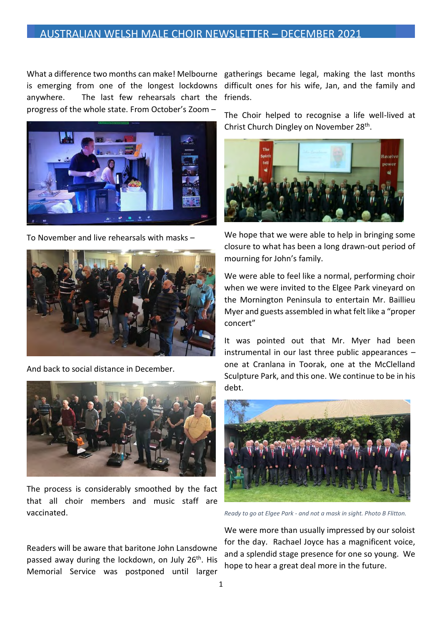is emerging from one of the longest lockdowns anywhere. The last few rehearsals chart the friends. progress of the whole state. From October's Zoom –



To November and live rehearsals with masks –



And back to social distance in December.



The process is considerably smoothed by the fact that all choir members and music staff are vaccinated.

Readers will be aware that baritone John Lansdowne passed away during the lockdown, on July  $26<sup>th</sup>$ . His Memorial Service was postponed until larger

What a difference two months can make! Melbourne gatherings became legal, making the last months difficult ones for his wife, Jan, and the family and

> The Choir helped to recognise a life well-lived at Christ Church Dingley on November 28<sup>th</sup>.



We hope that we were able to help in bringing some closure to what has been a long drawn-out period of mourning for John's family.

We were able to feel like a normal, performing choir when we were invited to the Elgee Park vineyard on the Mornington Peninsula to entertain Mr. Baillieu Myer and guests assembled in what felt like a "proper concert"

It was pointed out that Mr. Myer had been instrumental in our last three public appearances – one at Cranlana in Toorak, one at the McClelland Sculpture Park, and this one. We continue to be in his debt.



*Ready to go at Elgee Park - and not a mask in sight. Photo B Flitton.* 

We were more than usually impressed by our soloist for the day. Rachael Joyce has a magnificent voice, and a splendid stage presence for one so young. We hope to hear a great deal more in the future.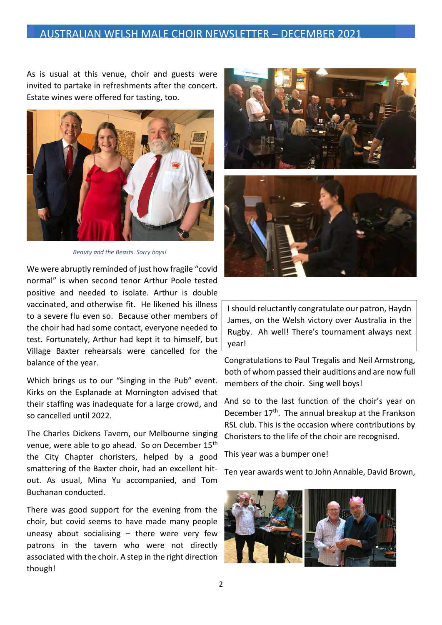As is usual at this venue, choir and guests were invited to partake in refreshments after the concert. Estate wines were offered for tasting, too.



 *Beauty and the Beasts. Sorry boys!* 

We were abruptly reminded of just how fragile "covid normal" is when second tenor Arthur Poole tested positive and needed to isolate. Arthur is double vaccinated, and otherwise fit. He likened his illness to a severe flu even so. Because other members of the choir had had some contact, everyone needed to test. Fortunately, Arthur had kept it to himself, but Village Baxter rehearsals were cancelled for the balance of the year.

Which brings us to our "Singing in the Pub" event. Kirks on the Esplanade at Mornington advised that their staffing was inadequate for a large crowd, and so cancelled until 2022.

The Charles Dickens Tavern, our Melbourne singing venue, were able to go ahead. So on December 15<sup>th</sup> the City Chapter choristers, helped by a good smattering of the Baxter choir, had an excellent hitout. As usual, Mina Yu accompanied, and Tom Buchanan conducted.

There was good support for the evening from the choir, but covid seems to have made many people uneasy about socialising  $-$  there were very few patrons in the tavern who were not directly associated with the choir. A step in the right direction though!





I should reluctantly congratulate our patron, Haydn James, on the Welsh victory over Australia in the James, on the Welsh victory over Australia in the Rugby. Ah well! There's tournament always next year! year!

Congratulations to Paul Tregalis and Neil Armstrong, both of whom passed their auditions and are now full members of the choir. Sing well boys!

And so to the last function of the choir's year on December 17<sup>th</sup>. The annual breakup at the Frankson RSL club. This is the occasion where contributions by Choristers to the life of the choir are recognised.

This year was a bumper one!

Ten year awards went to John Annable, David Brown,

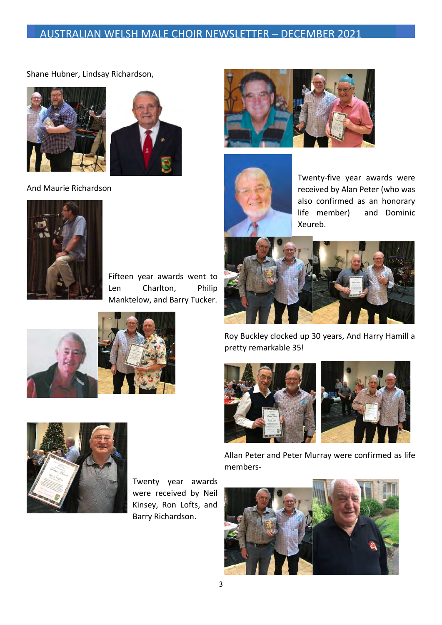Shane Hubner, Lindsay Richardson,



And Maurie Richardson



Fifteen year awards went to Len Charlton, Philip Manktelow, and Barry Tucker.







Twenty-five year awards were received by Alan Peter (who was also confirmed as an honorary life member) and Dominic Xeureb.



Roy Buckley clocked up 30 years, And Harry Hamill a pretty remarkable 35!



Allan Peter and Peter Murray were confirmed as life members-





Twenty year awards were received by Neil Kinsey, Ron Lofts, and Barry Richardson.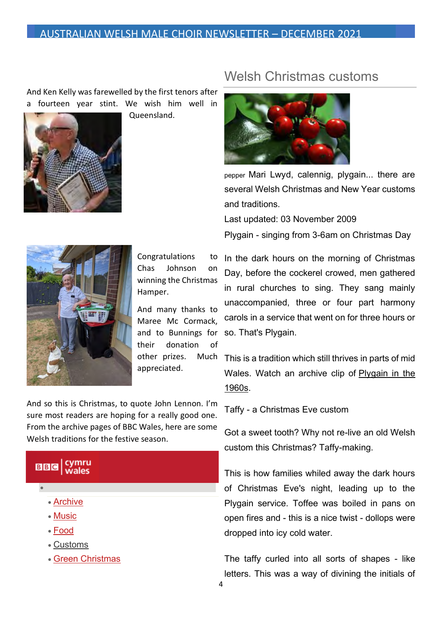And Ken Kelly was farewelled by the first tenors after a fourteen year stint. We wish him well in

Queensland.



# Welsh Christmas customs



pepper Mari Lwyd, calennig, plygain... there are several Welsh Christmas and New Year customs and traditions.

Last updated: 03 November 2009

Plygain - singing from 3-6am on Christmas Day



Congratulations to Chas Johnson on winning the Christmas Hamper.

And many thanks to Maree Mc Cormack, and to Bunnings for so. That's Plygain. their donation of other prizes. appreciated.

And so this is Christmas, to quote John Lennon. I'm sure most readers are hoping for a really good one. From the archive pages of BBC Wales, here are some Welsh traditions for the festive season.

#### cymru **BBC**

- •
- [Archive](https://www.bbc.co.uk/wales/christmas/sites/content/pages/archive.shtml)
- [Music](https://www.bbc.co.uk/wales/christmas/sites/content/pages/music.shtml)
- [Food](https://www.bbc.co.uk/wales/christmas/sites/content/pages/food.shtml)
- [Customs](https://www.bbc.co.uk/wales/christmas/sites/content/pages/customs.shtml)
- [Green Christmas](https://www.bbc.co.uk/wales/christmas/sites/content/pages/green-christmas.shtml)

In the dark hours on the morning of Christmas Day, before the cockerel crowed, men gathered in rural churches to sing. They sang mainly unaccompanied, three or four part harmony carols in a service that went on for three hours or

Much This is a tradition which still thrives in parts of mid Wales. Watch an archive clip of [Plygain in the](https://www.bbc.co.uk/wales/christmas/sites/content/pages/archive-plygain.shtml)  [1960s.](https://www.bbc.co.uk/wales/christmas/sites/content/pages/archive-plygain.shtml)

Taffy - a Christmas Eve custom

Got a sweet tooth? Why not re-live an old Welsh custom this Christmas? Taffy-making.

This is how families whiled away the dark hours of Christmas Eve's night, leading up to the Plygain service. Toffee was boiled in pans on open fires and - this is a nice twist - dollops were dropped into icy cold water.

The taffy curled into all sorts of shapes - like letters. This was a way of divining the initials of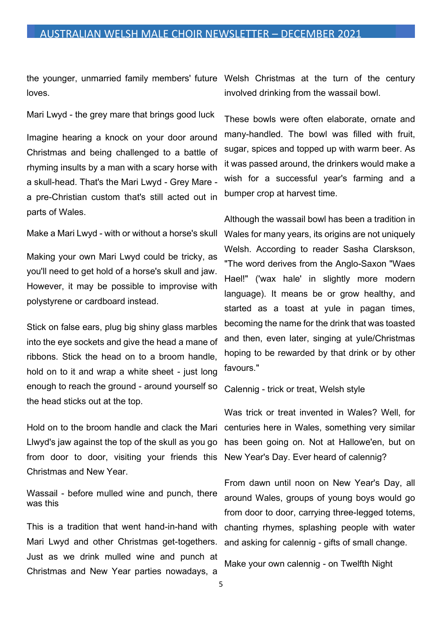the younger, unmarried family members' future Welsh Christmas at the turn of the century loves.

Mari Lwyd - the grey mare that brings good luck

Imagine hearing a knock on your door around Christmas and being challenged to a battle of rhyming insults by a man with a scary horse with a skull-head. That's the Mari Lwyd - Grey Mare a pre-Christian custom that's still acted out in parts of Wales.

Making your own Mari Lwyd could be tricky, as you'll need to get hold of a horse's skull and jaw. However, it may be possible to improvise with polystyrene or cardboard instead.

Stick on false ears, plug big shiny glass marbles into the eye sockets and give the head a mane of ribbons. Stick the head on to a broom handle, hold on to it and wrap a white sheet - just long enough to reach the ground - around yourself so the head sticks out at the top.

Hold on to the broom handle and clack the Mari centuries here in Wales, something very similar Llwyd's jaw against the top of the skull as you go has been going on. Not at Hallowe'en, but on from door to door, visiting your friends this New Year's Day. Ever heard of calennig? Christmas and New Year.

Wassail - before mulled wine and punch, there was this

This is a tradition that went hand-in-hand with Mari Lwyd and other Christmas get-togethers. Just as we drink mulled wine and punch at Christmas and New Year parties nowadays, a involved drinking from the wassail bowl.

These bowls were often elaborate, ornate and many-handled. The bowl was filled with fruit, sugar, spices and topped up with warm beer. As it was passed around, the drinkers would make a wish for a successful year's farming and a bumper crop at harvest time.

Make a Mari Lwyd - with or without a horse's skull Wales for many years, its origins are not uniquely Although the wassail bowl has been a tradition in Welsh. According to reader Sasha Clarskson, "The word derives from the Anglo-Saxon "Waes Hael!" ('wax hale' in slightly more modern language). It means be or grow healthy, and started as a toast at yule in pagan times, becoming the name for the drink that was toasted and then, even later, singing at yule/Christmas hoping to be rewarded by that drink or by other favours."

Calennig - trick or treat, Welsh style

Was trick or treat invented in Wales? Well, for

From dawn until noon on New Year's Day, all around Wales, groups of young boys would go from door to door, carrying three-legged totems, chanting rhymes, splashing people with water and asking for calennig - gifts of small change.

Make your own calennig - on Twelfth Night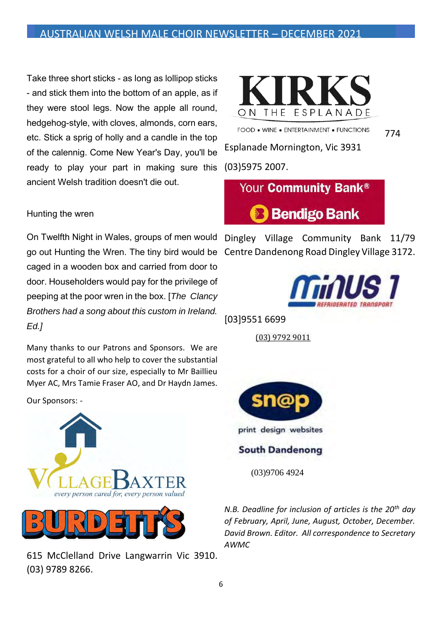Take three short sticks - as long as lollipop sticks - and stick them into the bottom of an apple, as if they were stool legs. Now the apple all round, hedgehog-style, with cloves, almonds, corn ears, etc. Stick a sprig of holly and a candle in the top of the calennig. Come New Year's Day, you'll be ready to play your part in making sure this ancient Welsh tradition doesn't die out.

#### Hunting the wren

On Twelfth Night in Wales, groups of men would Dingley Village Community Bank 11/79 go out Hunting the Wren. The tiny bird would be Centre Dandenong Road Dingley Village 3172. caged in a wooden box and carried from door to door. Householders would pay for the privilege of peeping at the poor wren in the box. [*The Clancy Brothers had a song about this custom in Ireland. Ed.]*

Many thanks to our Patrons and Sponsors. We are most grateful to all who help to cover the substantial costs for a choir of our size, especially to Mr Baillieu Myer AC, Mrs Tamie Fraser AO, and Dr Haydn James.

Our Sponsors: -





615 McClelland Drive Langwarrin Vic 3910. (03) 9789 8266.



774

Esplanade Mornington, Vic 3931

(03)5975 2007.

Your Community Bank®

**Bendigo Bank** 



[03]9551 6699

[\(03\) 9792 9011](tel:(03)%209792%209011)



(03)9706 4924

*N.B. Deadline for inclusion of articles is the 20th day of February, April, June, August, October, December. David Brown. Editor. All correspondence to Secretary AWMC*